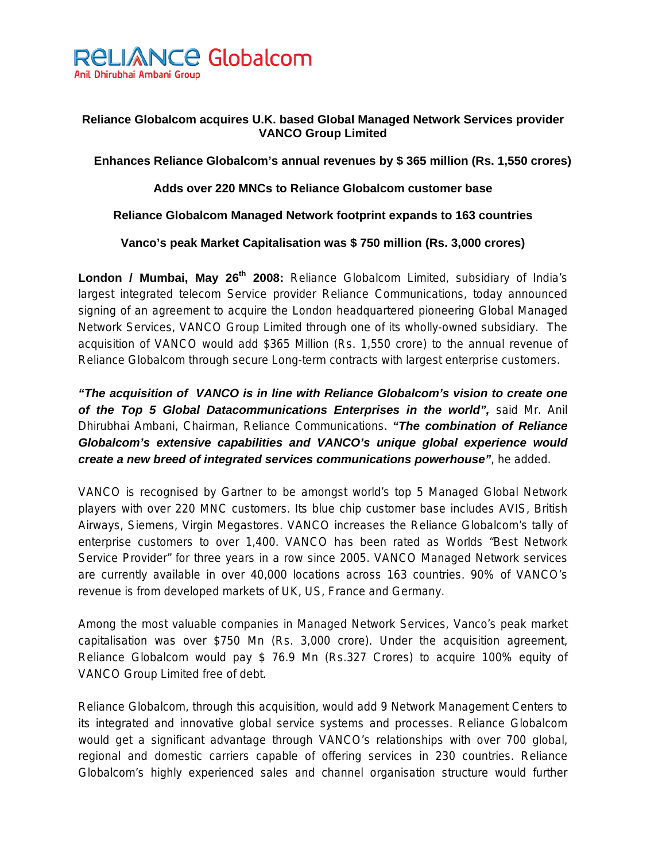

## **Reliance Globalcom acquires U.K. based Global Managed Network Services provider VANCO Group Limited**

**Enhances Reliance Globalcom's annual revenues by \$ 365 million (Rs. 1,550 crores)** 

**Adds over 220 MNCs to Reliance Globalcom customer base** 

**Reliance Globalcom Managed Network footprint expands to 163 countries** 

**Vanco's peak Market Capitalisation was \$ 750 million (Rs. 3,000 crores)** 

London / Mumbai, May 26<sup>th</sup> 2008: Reliance Globalcom Limited, subsidiary of India's largest integrated telecom Service provider Reliance Communications, today announced signing of an agreement to acquire the London headquartered pioneering Global Managed Network Services, VANCO Group Limited through one of its wholly-owned subsidiary. The acquisition of VANCO would add \$365 Million (Rs. 1,550 crore) to the annual revenue of Reliance Globalcom through secure Long-term contracts with largest enterprise customers.

*"The acquisition of VANCO is in line with Reliance Globalcom's vision to create one of the Top 5 Global Datacommunications Enterprises in the world",* said Mr. Anil Dhirubhai Ambani, Chairman, Reliance Communications. *"The combination of Reliance Globalcom's extensive capabilities and VANCO's unique global experience would create a new breed of integrated services communications powerhouse"*, he added.

VANCO is recognised by Gartner to be amongst world's top 5 Managed Global Network players with over 220 MNC customers. Its blue chip customer base includes AVIS, British Airways, Siemens, Virgin Megastores. VANCO increases the Reliance Globalcom's tally of enterprise customers to over 1,400. VANCO has been rated as Worlds "Best Network Service Provider" for three years in a row since 2005. VANCO Managed Network services are currently available in over 40,000 locations across 163 countries. 90% of VANCO's revenue is from developed markets of UK, US, France and Germany.

Among the most valuable companies in Managed Network Services, Vanco's peak market capitalisation was over \$750 Mn (Rs. 3,000 crore). Under the acquisition agreement, Reliance Globalcom would pay \$ 76.9 Mn (Rs.327 Crores) to acquire 100% equity of VANCO Group Limited free of debt.

Reliance Globalcom, through this acquisition, would add 9 Network Management Centers to its integrated and innovative global service systems and processes. Reliance Globalcom would get a significant advantage through VANCO's relationships with over 700 global, regional and domestic carriers capable of offering services in 230 countries. Reliance Globalcom's highly experienced sales and channel organisation structure would further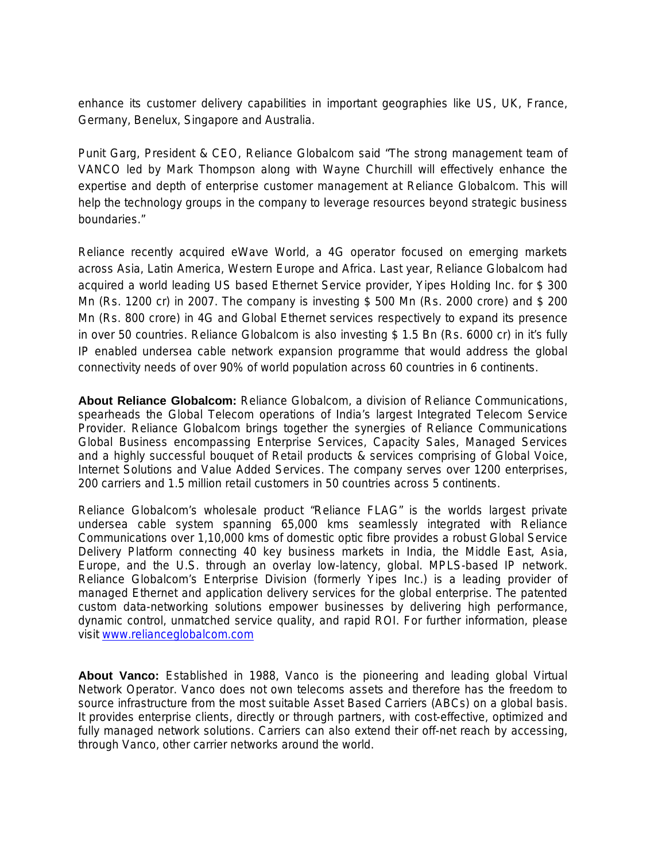enhance its customer delivery capabilities in important geographies like US, UK, France, Germany, Benelux, Singapore and Australia.

Punit Garg, President & CEO, Reliance Globalcom said "The strong management team of VANCO led by Mark Thompson along with Wayne Churchill will effectively enhance the expertise and depth of enterprise customer management at Reliance Globalcom. This will help the technology groups in the company to leverage resources beyond strategic business boundaries."

Reliance recently acquired eWave World, a 4G operator focused on emerging markets across Asia, Latin America, Western Europe and Africa. Last year, Reliance Globalcom had acquired a world leading US based Ethernet Service provider, Yipes Holding Inc. for \$ 300 Mn (Rs. 1200 cr) in 2007. The company is investing \$ 500 Mn (Rs. 2000 crore) and \$ 200 Mn (Rs. 800 crore) in 4G and Global Ethernet services respectively to expand its presence in over 50 countries. Reliance Globalcom is also investing \$ 1.5 Bn (Rs. 6000 cr) in it's fully IP enabled undersea cable network expansion programme that would address the global connectivity needs of over 90% of world population across 60 countries in 6 continents.

**About Reliance Globalcom:** Reliance Globalcom, a division of Reliance Communications, spearheads the Global Telecom operations of India's largest Integrated Telecom Service Provider. Reliance Globalcom brings together the synergies of Reliance Communications Global Business encompassing Enterprise Services, Capacity Sales, Managed Services and a highly successful bouquet of Retail products & services comprising of Global Voice, Internet Solutions and Value Added Services. The company serves over 1200 enterprises, 200 carriers and 1.5 million retail customers in 50 countries across 5 continents.

Reliance Globalcom's wholesale product "Reliance FLAG" is the worlds largest private undersea cable system spanning 65,000 kms seamlessly integrated with Reliance Communications over 1,10,000 kms of domestic optic fibre provides a robust Global Service Delivery Platform connecting 40 key business markets in India, the Middle East, Asia, Europe, and the U.S. through an overlay low-latency, global. MPLS-based IP network. Reliance Globalcom's Enterprise Division (formerly Yipes Inc.) is a leading provider of managed Ethernet and application delivery services for the global enterprise. The patented custom data-networking solutions empower businesses by delivering high performance, dynamic control, unmatched service quality, and rapid ROI. For further information, please visit www.relianceglobalcom.com

**About Vanco:** Established in 1988, Vanco is the pioneering and leading global Virtual Network Operator. Vanco does not own telecoms assets and therefore has the freedom to source infrastructure from the most suitable Asset Based Carriers (ABCs) on a global basis. It provides enterprise clients, directly or through partners, with cost-effective, optimized and fully managed network solutions. Carriers can also extend their off-net reach by accessing, through Vanco, other carrier networks around the world.